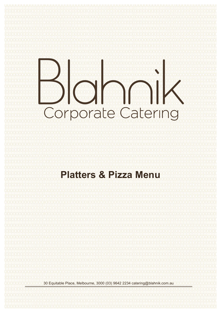# 3ahnik Corporate Catering

### **Platters & Pizza Menu**

30 Equitable Place, Melbourne, 3000 (03) 9642 2234 catering@blahnik.com.au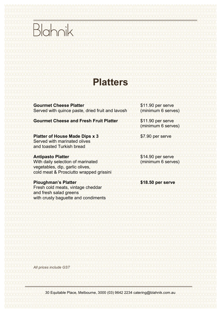# Blahnik

## **Platters**

**Gourmet Cheese Platter** Served with quince paste, dried fruit and lavosh

**Gourmet Cheese and Fresh Fruit Platter**

**Platter of House Made Dips x 3** Served with marinated olives

and toasted Turkish bread

#### **Antipasto Platter**

With daily selection of marinated vegetables, dip, garlic olives, cold meat & Prosciutto wrapped grissini

#### **Ploughman's Platter**

Fresh cold meats, vintage cheddar and fresh salad greens with crusty baguette and condiments \$11.90 per serve (minimum 6 serves)

\$11.90 per serve (minimum 6 serves)

\$7.90 per serve

\$14.90 per serve (minimum 6 serves)

**\$18.50 per serve** 

*All prices include GST*

30 Equitable Place, Melbourne, 3000 (03) 9642 2234 catering@blahnik.com.au